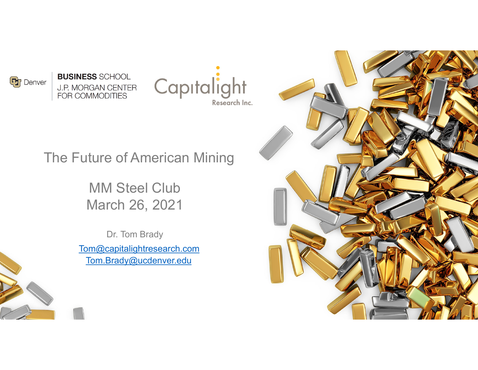

**BUSINESS SCHOOL J.P. MORGAN CENTER** FOR COMMODITIES



### The Future of American Mining

MM Steel Club March 26, 2021

Dr. Tom Brady Tom@capitalightresearch.com Tom.Brady@ucdenver.edu



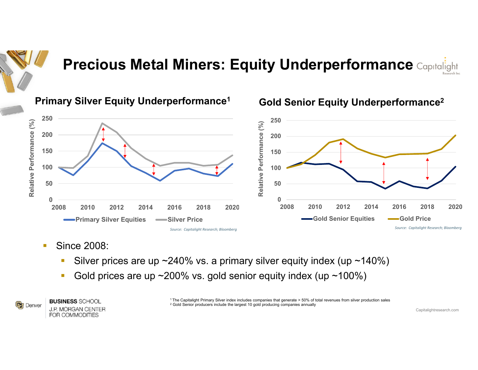

# **Precious Metal Miners: Equity Underperformance Capitalight**

### **Primary Silver Equity Underperformance1 Gold Senior Equity Underperformance2**



- П Since 2008:
	- $\mathcal{L}_{\mathcal{A}}$ Silver prices are up  $\sim$  240% vs. a primary silver equity index (up  $\sim$  140%)
	- $\mathcal{L}_{\mathcal{A}}$ Gold prices are up  $\sim$  200% vs. gold senior equity index (up  $\sim$  100%)



**BUSINESS SCHOOL J.P. MORGAN CENTER** FOR COMMODITIES

1 The Capitalight Primary Silver index includes companies that generate > 50% of total revenues from silver production sales  $^{\rm 2}$  Gold Senior producers include the largest 10 gold producing companies annually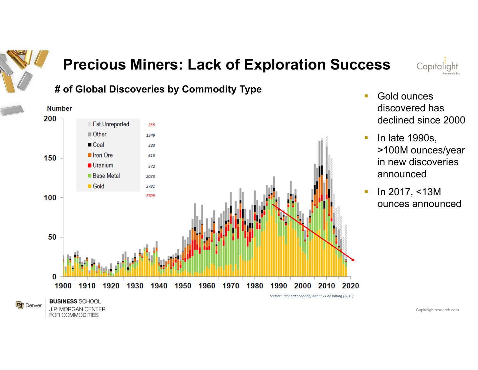

FOR COMMODITIES

## **Precious Miners: Lack of Exploration Success**

Capitaliaht





- $\mathbb{R}^2$  Gold ounces discovered has declined since 2000
- $\mathcal{L}_{\mathcal{A}}$  In late 1990s, >100M ounces/year in new discoveries announced
- $\mathcal{L}$  In 2017, <13M ounces announced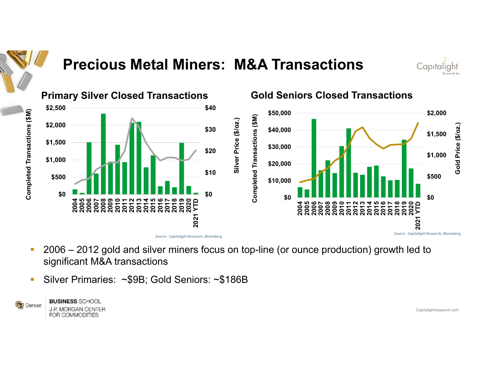

## **Precious Metal Miners: M&A Transactions**





- П 2006 – 2012 gold and silver miners focus on top-line (or ounce production) growth led to significant M&A transactions
- $\mathcal{C}$ Silver Primaries: ~\$9B; Gold Seniors: ~\$186B



**J.P. MORGAN CENTER**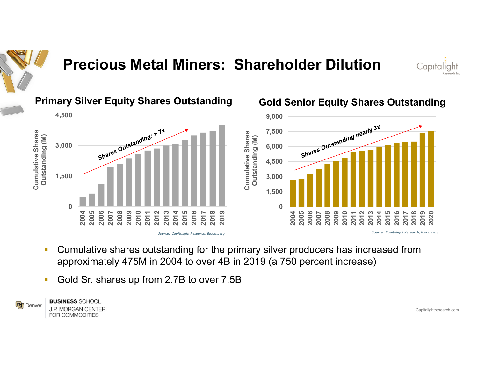

### **Precious Metal Miners: Shareholder Dilution**



### **4,500 Primary Silver Equity Shares Outstanding Gold Senior Equity Shares Outstanding**



### **9,000** Shares Outstanding nearly 3x **7,500** Cumulative Shares Outstanding (M) **Outstanding (M) 6,000 4,500 3,000 1,500 02004 2005 2006 2008 2009 2010 2011 2012 2013 2014 2015 2016 2007 2018 2019 2020 2017** *Source: Capitalight Research; Bloomberg Source: Capitalight Research; Bloomberg*

П Cumulative shares outstanding for the primary silver producers has increased from approximately 475M in 2004 to over 4B in 2019 (a 750 percent increase)

**Cumulative Shares** 

 $\mathcal{L}_{\mathcal{A}}$ Gold Sr. shares up from 2.7B to over 7.5B



**J.P. MORGAN CENTER**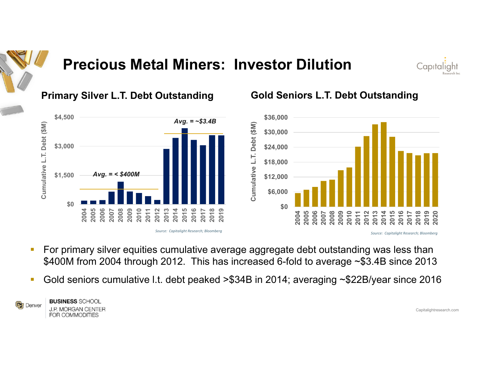

# Capitalight







- П For primary silver equities cumulative average aggregate debt outstanding was less than \$400M from 2004 through 2012. This has increased 6-fold to average ~\$3.4B since 2013
- $\mathcal{C}$ Gold seniors cumulative l.t. debt peaked >\$34B in 2014; averaging ~\$22B/year since 2016



**BUSINESS SCHOOL J.P. MORGAN CENTER**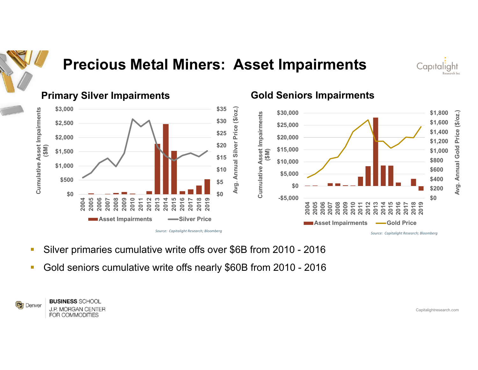

## **Precious Metal Miners: Asset Impairments**





- **Tale** Silver primaries cumulative write offs over \$6B from 2010 - 2016
- **Tale** Gold seniors cumulative write offs nearly \$60B from 2010 - 2016



FOR COMMODITIES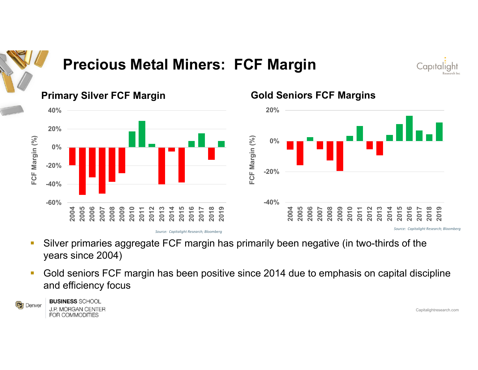

## **Precious Metal Miners: FCF Margin**

Capitaliaht



- $\mathcal{L}_{\mathcal{A}}$  Silver primaries aggregate FCF margin has primarily been negative (in two-thirds of the years since 2004)
- $\overline{\phantom{a}}$  Gold seniors FCF margin has been positive since 2014 due to emphasis on capital discipline and efficiency focus



**BUSINESS SCHOOL J.P. MORGAN CENTER** FOR COMMODITIES